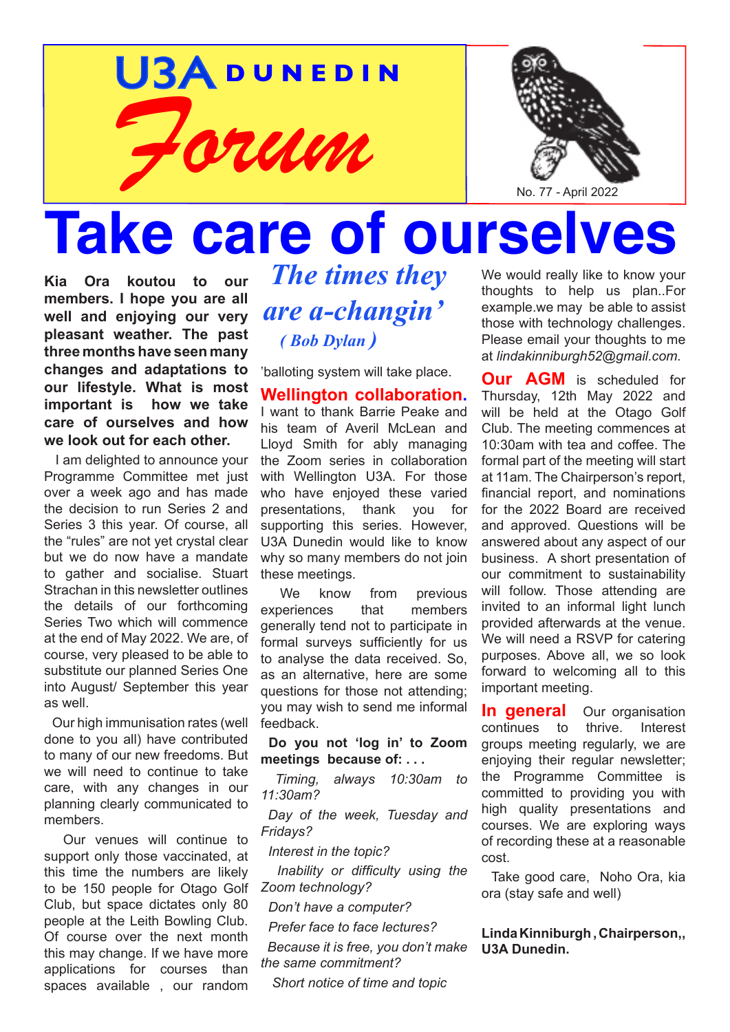# U3A **D U N E D I N** *Forum*



# **Take care of ourse**

**Kia Ora koutou to our members. I hope you are all well and enjoying our very pleasant weather. The past three months have seen many changes and adaptations to our lifestyle. What is most important is how we take care of ourselves and how we look out for each other.**

 I am delighted to announce your Programme Committee met just over a week ago and has made the decision to run Series 2 and Series 3 this year. Of course, all the "rules" are not yet crystal clear but we do now have a mandate to gather and socialise. Stuart Strachan in this newsletter outlines the details of our forthcoming Series Two which will commence at the end of May 2022. We are, of course, very pleased to be able to substitute our planned Series One into August/ September this year as well.

 Our high immunisation rates (well done to you all) have contributed to many of our new freedoms. But we will need to continue to take care, with any changes in our planning clearly communicated to members.

 Our venues will continue to support only those vaccinated, at this time the numbers are likely to be 150 people for Otago Golf Club, but space dictates only 80 people at the Leith Bowling Club. Of course over the next month this may change. If we have more applications for courses than spaces available , our random

*The times they are a-changin' ( Bob Dylan )* 

'balloting system will take place.

**Wellington collaboration.** I want to thank Barrie Peake and his team of Averil McLean and Lloyd Smith for ably managing the Zoom series in collaboration with Wellington U3A. For those who have enjoyed these varied presentations, thank you for supporting this series. However, U3A Dunedin would like to know why so many members do not join these meetings.

We know from previous experiences that members generally tend not to participate in formal surveys sufficiently for us to analyse the data received. So, as an alternative, here are some questions for those not attending; you may wish to send me informal feedback.

**Do you not 'log in' to Zoom meetings because of: . . .**

 *Timing, always 10:30am to 11:30am?*

 *Day of the week, Tuesday and Fridays?*

 *Interest in the topic?*

 *Inability or difficulty using the Zoom technology?*

 *Don't have a computer?*

 *Prefer face to face lectures?*

 *Because it is free, you don't make the same commitment?*

 *Short notice of time and topic*

We would really like to know your thoughts to help us plan..For example.we may be able to assist those with technology challenges. Please email your thoughts to me at *lindakinniburgh52@gmail.com.*

**Our AGM** is scheduled for Thursday, 12th May 2022 and will be held at the Otago Golf Club. The meeting commences at 10:30am with tea and coffee. The formal part of the meeting will start at 11am. The Chairperson's report, financial report, and nominations for the 2022 Board are received and approved. Questions will be answered about any aspect of our business. A short presentation of our commitment to sustainability will follow. Those attending are invited to an informal light lunch provided afterwards at the venue. We will need a RSVP for catering purposes. Above all, we so look forward to welcoming all to this important meeting.

**In general** Our organisation continues to thrive. Interest groups meeting regularly, we are enjoying their regular newsletter; the Programme Committee is committed to providing you with high quality presentations and courses. We are exploring ways of recording these at a reasonable cost.

 ora (stay safe and well) Take good care, Noho Ora, kia

#### **Linda Kinniburgh, Chairperson,, U3A Dunedin.**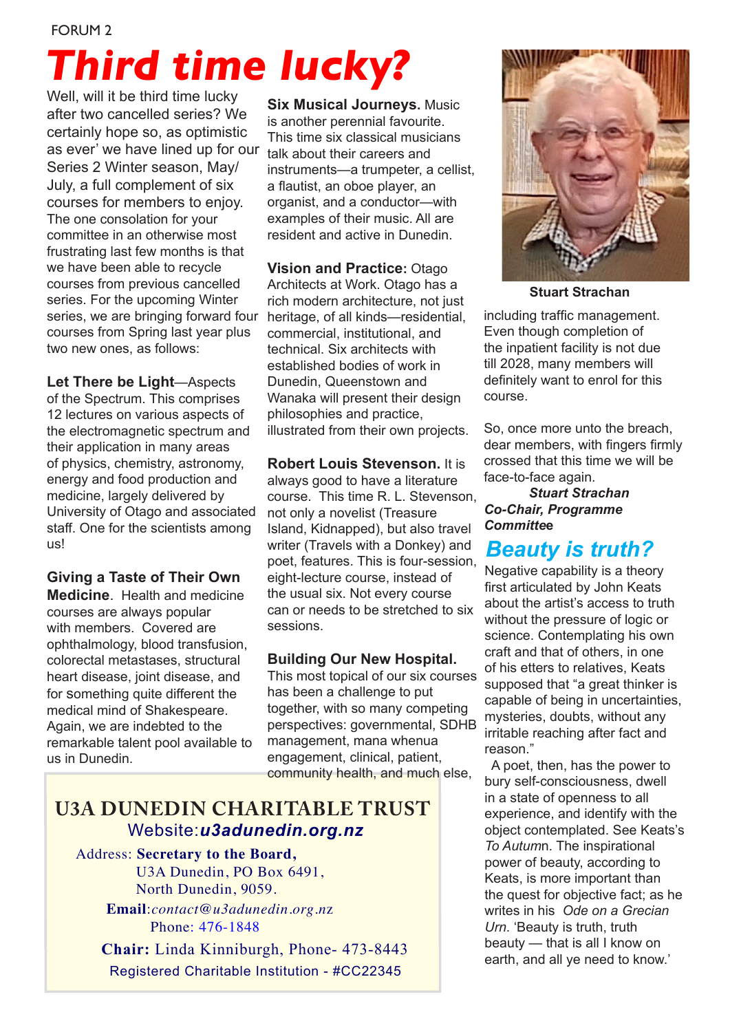# *Third time lucky?*

Well, will it be third time lucky after two cancelled series? We certainly hope so, as optimistic as ever' we have lined up for our Series 2 Winter season, May/ July, a full complement of six courses for members to enjoy. The one consolation for your committee in an otherwise most frustrating last few months is that we have been able to recycle courses from previous cancelled series. For the upcoming Winter series, we are bringing forward four courses from Spring last year plus two new ones, as follows:

**Let There be Light**—Aspects of the Spectrum. This comprises 12 lectures on various aspects of the electromagnetic spectrum and their application in many areas of physics, chemistry, astronomy, energy and food production and medicine, largely delivered by University of Otago and associated staff. One for the scientists among us!

**Giving a Taste of Their Own Medicine**. Health and medicine

courses are always popular with members. Covered are ophthalmology, blood transfusion, colorectal metastases, structural heart disease, joint disease, and for something quite different the medical mind of Shakespeare. Again, we are indebted to the remarkable talent pool available to us in Dunedin.

**Six Musical Journeys.** Music is another perennial favourite. This time six classical musicians talk about their careers and instruments—a trumpeter, a cellist, a flautist, an oboe player, an organist, and a conductor—with examples of their music. All are resident and active in Dunedin.

**Vision and Practice:** Otago Architects at Work. Otago has a rich modern architecture, not just heritage, of all kinds—residential, commercial, institutional, and technical. Six architects with established bodies of work in Dunedin, Queenstown and Wanaka will present their design philosophies and practice, illustrated from their own projects.

**Robert Louis Stevenson.** It is always good to have a literature course. This time R. L. Stevenson, not only a novelist (Treasure Island, Kidnapped), but also travel writer (Travels with a Donkey) and poet, features. This is four-session, eight-lecture course, instead of the usual six. Not every course can or needs to be stretched to six sessions.

#### **Building Our New Hospital.**

This most topical of our six courses has been a challenge to put together, with so many competing perspectives: governmental, SDHB management, mana whenua engagement, clinical, patient, community health, and much else,

### **U3A DUNEDIN CHARITABLE TRUST** Website:*u3adunedin.org.nz*

 Address: **Secretary to the Board,** U3A Dunedin, PO Box 6491, North Dunedin, 9059. **Email**:*contact@u3adunedin.org.n*z Phone: 476-1848

 **Chair:** Linda Kinniburgh, Phone- 473-8443 Registered Charitable Institution - #CC22345



**Stuart Strachan**

including traffic management. Even though completion of the inpatient facility is not due till 2028, many members will definitely want to enrol for this course.

So, once more unto the breach, dear members, with fingers firmly crossed that this time we will be face-to-face again.

*Stuart Strachan Co-Chair, Programme Committe***e**

### *Beauty is truth?*

Negative capability is a theory first articulated by John Keats about the artist's access to truth without the pressure of logic or science. Contemplating his own craft and that of others, in one of his etters to relatives, Keats supposed that "a great thinker is capable of being in uncertainties, mysteries, doubts, without any irritable reaching after fact and reason."

 A poet, then, has the power to bury self-consciousness, dwell in a state of openness to all experience, and identify with the object contemplated. See Keats's *To Autum*n. The inspirational power of beauty, according to Keats, is more important than the quest for objective fact; as he writes in his *Ode on a Grecian Urn*. 'Beauty is truth, truth beauty — that is all I know on earth, and all ye need to know.'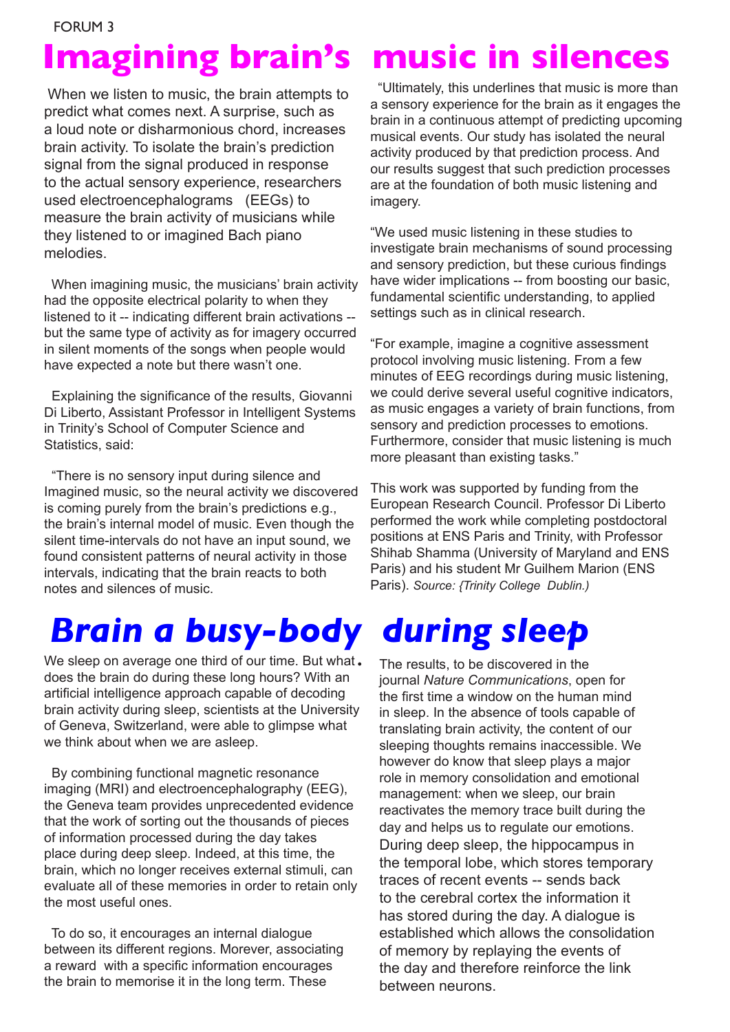When we listen to music, the brain attempts to predict what comes next. A surprise, such as a loud note or disharmonious chord, increases brain activity. To isolate the brain's prediction signal from the signal produced in response to the actual sensory experience, researchers used electroencephalograms (EEGs) to measure the brain activity of musicians while they listened to or imagined Bach piano melodies.

 When imagining music, the musicians' brain activity had the opposite electrical polarity to when they listened to it -- indicating different brain activations - but the same type of activity as for imagery occurred in silent moments of the songs when people would have expected a note but there wasn't one.

 Explaining the significance of the results, Giovanni Di Liberto, Assistant Professor in Intelligent Systems in Trinity's School of Computer Science and Statistics, said:

 "There is no sensory input during silence and Imagined music, so the neural activity we discovered is coming purely from the brain's predictions e.g., the brain's internal model of music. Even though the silent time-intervals do not have an input sound, we found consistent patterns of neural activity in those intervals, indicating that the brain reacts to both notes and silences of music.

## *Brain a busy-body during sleep*

We sleep on average one third of our time. But what. does the brain do during these long hours? With an artificial intelligence approach capable of decoding brain activity during sleep, scientists at the University of Geneva, Switzerland, were able to glimpse what we think about when we are asleep.

 By combining functional magnetic resonance imaging (MRI) and electroencephalography (EEG), the Geneva team provides unprecedented evidence that the work of sorting out the thousands of pieces of information processed during the day takes place during deep sleep. Indeed, at this time, the brain, which no longer receives external stimuli, can evaluate all of these memories in order to retain only the most useful ones.

 To do so, it encourages an internal dialogue between its different regions. Morever, associating a reward with a specific information encourages the brain to memorise it in the long term. These

## **Imagining brain's music in silences**

 "Ultimately, this underlines that music is more than a sensory experience for the brain as it engages the brain in a continuous attempt of predicting upcoming musical events. Our study has isolated the neural activity produced by that prediction process. And our results suggest that such prediction processes are at the foundation of both music listening and imagery.

"We used music listening in these studies to investigate brain mechanisms of sound processing and sensory prediction, but these curious findings have wider implications -- from boosting our basic, fundamental scientific understanding, to applied settings such as in clinical research.

"For example, imagine a cognitive assessment protocol involving music listening. From a few minutes of EEG recordings during music listening, we could derive several useful cognitive indicators, as music engages a variety of brain functions, from sensory and prediction processes to emotions. Furthermore, consider that music listening is much more pleasant than existing tasks."

This work was supported by funding from the European Research Council. Professor Di Liberto performed the work while completing postdoctoral positions at ENS Paris and Trinity, with Professor Shihab Shamma (University of Maryland and ENS Paris) and his student Mr Guilhem Marion (ENS Paris). *Source: {Trinity College Dublin.)*

The results, to be discovered in the journal *Nature Communications*, open for the first time a window on the human mind in sleep. In the absence of tools capable of translating brain activity, the content of our sleeping thoughts remains inaccessible. We however do know that sleep plays a major role in memory consolidation and emotional management: when we sleep, our brain reactivates the memory trace built during the day and helps us to regulate our emotions. During deep sleep, the hippocampus in the temporal lobe, which stores temporary traces of recent events -- sends back to the cerebral cortex the information it has stored during the day. A dialogue is established which allows the consolidation of memory by replaying the events of the day and therefore reinforce the link between neurons.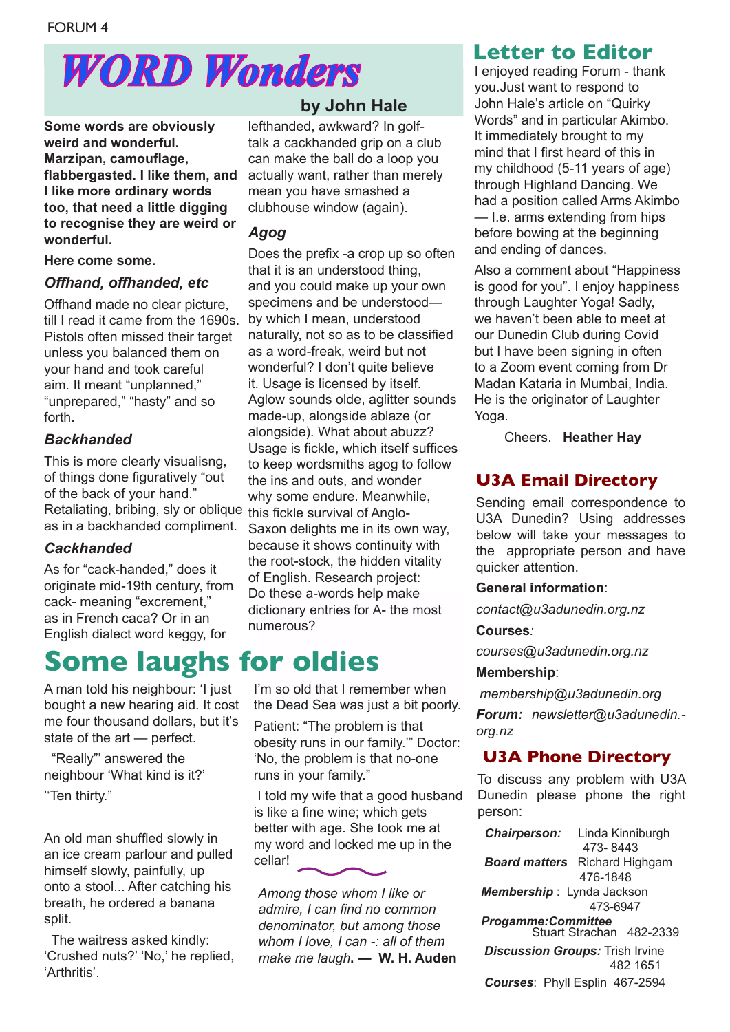## *WORD Wonders*

**Some words are obviously weird and wonderful. Marzipan, camouflage, flabbergasted. I like them, and I like more ordinary words too, that need a little digging to recognise they are weird or wonderful.**

#### **Here come some.**

#### *Offhand, offhanded, etc*

Offhand made no clear picture, till I read it came from the 1690s. Pistols often missed their target unless you balanced them on your hand and took careful aim. It meant "unplanned," "unprepared," "hasty" and so forth.

#### *Backhanded*

Retaliating, bribing, sly or oblique this fickle survival of Anglo-This is more clearly visualisng, of things done figuratively "out of the back of your hand." as in a backhanded compliment.

#### *Cackhanded*

As for "cack-handed," does it originate mid-19th century, from cack- meaning "excrement," as in French caca? Or in an English dialect word keggy, for

### **Some laughs for oldies**

A man told his neighbour: 'I just bought a new hearing aid. It cost me four thousand dollars, but it's state of the art — perfect.

 "Really"' answered the neighbour 'What kind is it?' ''Ten thirty."

An old man shuffled slowly in an ice cream parlour and pulled himself slowly, painfully, up onto a stool... After catching his breath, he ordered a banana split.

 The waitress asked kindly: 'Crushed nuts?' 'No,' he replied, 'Arthritis'.

#### **by John Hale**

lefthanded, awkward? In golftalk a cackhanded grip on a club can make the ball do a loop you actually want, rather than merely mean you have smashed a clubhouse window (again).

#### *Agog*

Does the prefix -a crop up so often that it is an understood thing, and you could make up your own specimens and be understood by which I mean, understood naturally, not so as to be classified as a word-freak, weird but not wonderful? I don't quite believe it. Usage is licensed by itself. Aglow sounds olde, aglitter sounds made-up, alongside ablaze (or alongside). What about abuzz? Usage is fickle, which itself suffices to keep wordsmiths agog to follow the ins and outs, and wonder why some endure. Meanwhile, Saxon delights me in its own way, because it shows continuity with the root-stock, the hidden vitality of English. Research project: Do these a-words help make dictionary entries for A- the most numerous?

I'm so old that I remember when the Dead Sea was just a bit poorly.

Patient: "The problem is that obesity runs in our family.'" Doctor: 'No, the problem is that no-one runs in your family."

 I told my wife that a good husband is like a fine wine; which gets better with age. She took me at my word and locked me up in the cellar!

*Among those whom I like or admire, I can find no common denominator, but among those whom I love, I can -: all of them make me laugh***. — W. H. Auden**

#### **Letter to Editor**

I enjoyed reading Forum - thank you.Just want to respond to John Hale's article on "Quirky Words" and in particular Akimbo. It immediately brought to my mind that I first heard of this in my childhood (5-11 years of age) through Highland Dancing. We had a position called Arms Akimbo — I.e. arms extending from hips before bowing at the beginning and ending of dances.

Also a comment about "Happiness is good for you". I enjoy happiness through Laughter Yoga! Sadly, we haven't been able to meet at our Dunedin Club during Covid but I have been signing in often to a Zoom event coming from Dr Madan Kataria in Mumbai, India. He is the originator of Laughter Yoga.

Cheers. **Heather Hay** 

### **U3A Email Directory**

Sending email correspondence to U3A Dunedin? Using addresses below will take your messages to the appropriate person and have quicker attention.

#### **General information**:

*contact@u3adunedin.org.nz*

#### **Courses***:*

*courses@u3adunedin.org.nz*

#### **Membership**:

 *membership@u3adunedin.org Forum: newsletter@u3adunedin. org.nz*

#### **U3A Phone Directory**

To discuss any problem with U3A Dunedin please phone the right person:

 *Chairperson:* Linda Kinniburgh 473- 8443  *Board matters* Richard Highgam 476-1848 *Membership* : Lynda Jackson 473-6947 *Progamme:Committee*  Stuart Strachan 482-2339  *Discussion Groups:* Trish Irvine 482 1651  *Courses*: Phyll Esplin 467-2594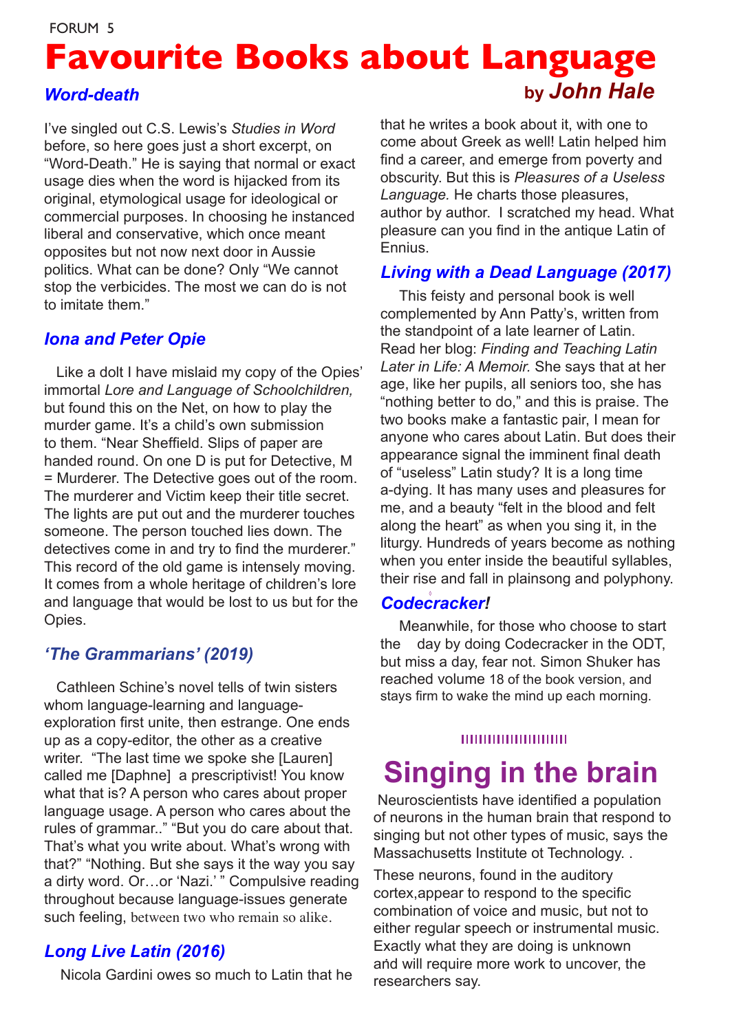## **Favourite Books about Language** *Word-death* **by** *John Hale*

I've singled out C.S. Lewis's *Studies in Word* before, so here goes just a short excerpt, on "Word-Death." He is saying that normal or exact usage dies when the word is hijacked from its original, etymological usage for ideological or commercial purposes. In choosing he instanced liberal and conservative, which once meant opposites but not now next door in Aussie politics. What can be done? Only "We cannot stop the verbicides. The most we can do is not to imitate them."

#### *Iona and Peter Opie*

 Like a dolt I have mislaid my copy of the Opies' immortal *Lore and Language of Schoolchildren,* but found this on the Net, on how to play the murder game. It's a child's own submission to them. "Near Sheffield. Slips of paper are handed round. On one D is put for Detective, M = Murderer. The Detective goes out of the room. The murderer and Victim keep their title secret. The lights are put out and the murderer touches someone. The person touched lies down. The detectives come in and try to find the murderer." This record of the old game is intensely moving. It comes from a whole heritage of children's lore and language that would be lost to us but for the Opies.

#### *'The Grammarians' (2019)*

 Cathleen Schine's novel tells of twin sisters whom language-learning and languageexploration first unite, then estrange. One ends up as a copy-editor, the other as a creative writer. "The last time we spoke she [Lauren] called me [Daphne] a prescriptivist! You know what that is? A person who cares about proper language usage. A person who cares about the rules of grammar.." "But you do care about that. That's what you write about. What's wrong with that?" "Nothing. But she says it the way you say a dirty word. Or…or 'Nazi.' " Compulsive reading throughout because language-issues generate such feeling, between two who remain so alike.

#### *Long Live Latin (2016)*

Nicola Gardini owes so much to Latin that he

that he writes a book about it, with one to come about Greek as well! Latin helped him find a career, and emerge from poverty and obscurity. But this is *Pleasures of a Useless Language.* He charts those pleasures, author by author. I scratched my head. What pleasure can you find in the antique Latin of Ennius.

#### *Living with a Dead Language (2017)*

 This feisty and personal book is well complemented by Ann Patty's, written from the standpoint of a late learner of Latin. Read her blog: *Finding and Teaching Latin Later in Life: A Memoir.* She says that at her age, like her pupils, all seniors too, she has "nothing better to do," and this is praise. The two books make a fantastic pair, I mean for anyone who cares about Latin. But does their appearance signal the imminent final death of "useless" Latin study? It is a long time a-dying. It has many uses and pleasures for me, and a beauty "felt in the blood and felt along the heart" as when you sing it, in the liturgy. Hundreds of years become as nothing when you enter inside the beautiful syllables, their rise and fall in plainsong and polyphony.

#### *Codecracker!*

 Meanwhile, for those who choose to start the day by doing Codecracker in the ODT, but miss a day, fear not. Simon Shuker has reached volume 18 of the book version, and stays firm to wake the mind up each morning.

#### 00000000000000

### **Singing in the brain**

 Neuroscientists have identified a population of neurons in the human brain that respond to singing but not other types of music, says the Massachusetts Institute ot Technology. .

 . and will require more work to uncover, the These neurons, found in the auditory cortex,appear to respond to the specific combination of voice and music, but not to either regular speech or instrumental music. Exactly what they are doing is unknown researchers say.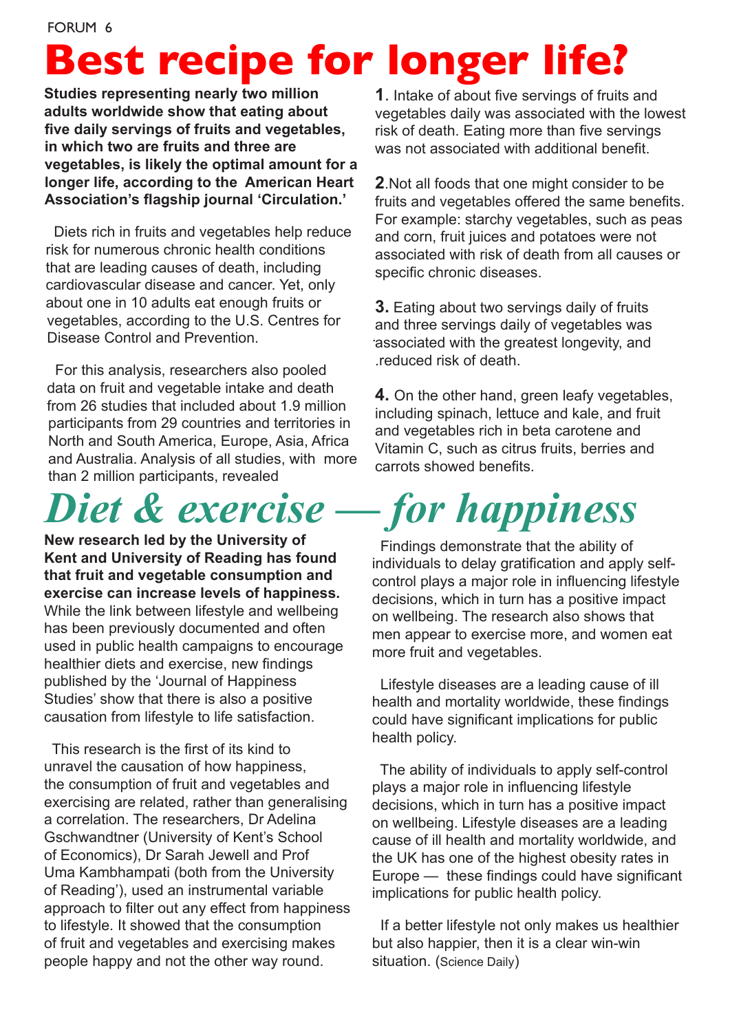## **Best recipe for longer life?**

**Studies representing nearly two million adults worldwide show that eating about five daily servings of fruits and vegetables, in which two are fruits and three are vegetables, is likely the optimal amount for a longer life, according to the American Heart Association's flagship journal 'Circulation.'**

 Diets rich in fruits and vegetables help reduce risk for numerous chronic health conditions that are leading causes of death, including cardiovascular disease and cancer. Yet, only about one in 10 adults eat enough fruits or vegetables, according to the U.S. Centres for Disease Control and Prevention.

 For this analysis, researchers also pooled data on fruit and vegetable intake and death from 26 studies that included about 1.9 million participants from 29 countries and territories in North and South America, Europe, Asia, Africa and Australia. Analysis of all studies, with more than 2 million participants, revealed

## *Diet & exercise — for happiness*

**New research led by the University of Kent and University of Reading has found that fruit and vegetable consumption and exercise can increase levels of happiness.** While the link between lifestyle and wellbeing has been previously documented and often used in public health campaigns to encourage healthier diets and exercise, new findings published by the 'Journal of Happiness Studies' show that there is also a positive causation from lifestyle to life satisfaction.

 This research is the first of its kind to unravel the causation of how happiness, the consumption of fruit and vegetables and exercising are related, rather than generalising a correlation. The researchers, Dr Adelina Gschwandtner (University of Kent's School of Economics), Dr Sarah Jewell and Prof Uma Kambhampati (both from the University of Reading'), used an instrumental variable approach to filter out any effect from happiness to lifestyle. It showed that the consumption of fruit and vegetables and exercising makes people happy and not the other way round.

**1**. Intake of about five servings of fruits and vegetables daily was associated with the lowest risk of death. Eating more than five servings was not associated with additional benefit.

**2**.Not all foods that one might consider to be fruits and vegetables offered the same benefits. For example: starchy vegetables, such as peas and corn, fruit juices and potatoes were not associated with risk of death from all causes or specific chronic diseases.

. associated with the greatest longevity, and **3.** Eating about two servings daily of fruits and three servings daily of vegetables was .reduced risk of death.

**4.** On the other hand, green leafy vegetables, including spinach, lettuce and kale, and fruit and vegetables rich in beta carotene and Vitamin C, such as citrus fruits, berries and carrots showed benefits.

 Findings demonstrate that the ability of individuals to delay gratification and apply selfcontrol plays a major role in influencing lifestyle decisions, which in turn has a positive impact on wellbeing. The research also shows that men appear to exercise more, and women eat more fruit and vegetables.

 Lifestyle diseases are a leading cause of ill health and mortality worldwide, these findings could have significant implications for public health policy.

 The ability of individuals to apply self-control plays a major role in influencing lifestyle decisions, which in turn has a positive impact on wellbeing. Lifestyle diseases are a leading cause of ill health and mortality worldwide, and the UK has one of the highest obesity rates in Europe — these findings could have significant implications for public health policy.

 If a better lifestyle not only makes us healthier but also happier, then it is a clear win-win situation. (Science Daily)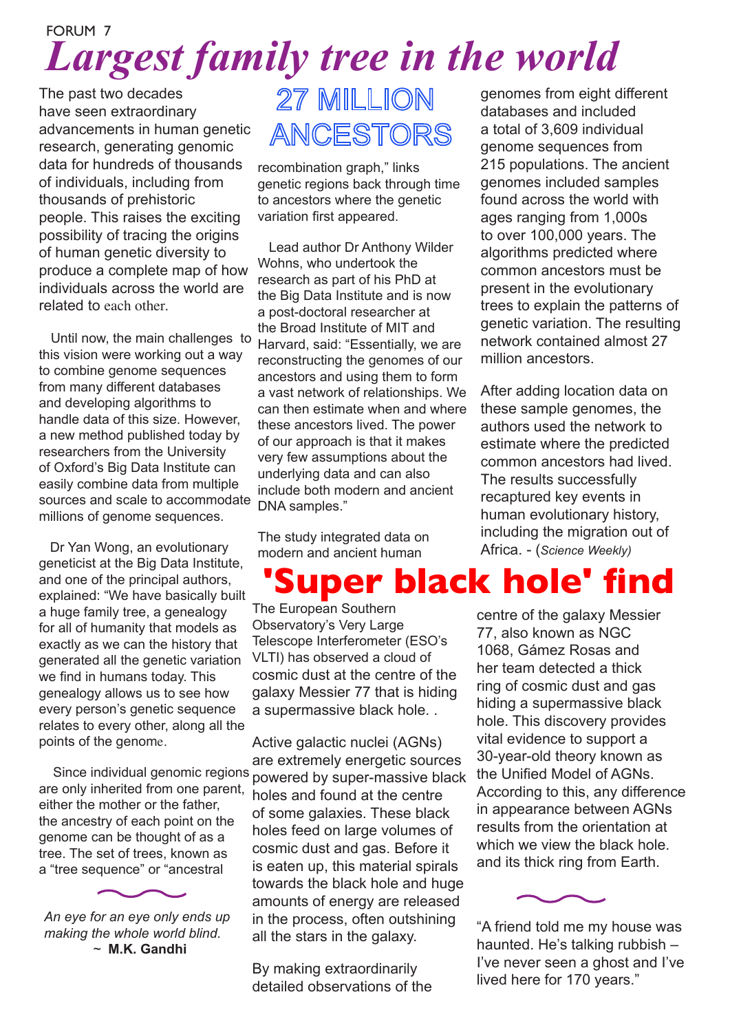### FORUM 7 *Largest family tree in the world*

The past two decades have seen extraordinary advancements in human genetic research, generating genomic data for hundreds of thousands of individuals, including from thousands of prehistoric people. This raises the exciting possibility of tracing the origins of human genetic diversity to produce a complete map of how individuals across the world are related to each other.

 Until now, the main challenges to this vision were working out a way to combine genome sequences from many different databases and developing algorithms to handle data of this size. However, a new method published today by researchers from the University of Oxford's Big Data Institute can easily combine data from multiple sources and scale to accommodate millions of genome sequences.

 Dr Yan Wong, an evolutionary geneticist at the Big Data Institute, and one of the principal authors, explained: "We have basically built a huge family tree, a genealogy for all of humanity that models as exactly as we can the history that generated all the genetic variation we find in humans today. This genealogy allows us to see how every person's genetic sequence relates to every other, along all the points of the genome.

 are only inherited from one parent, either the mother or the father, the ancestry of each point on the genome can be thought of as a tree. The set of trees, known as a "tree sequence" or "ancestral

*An eye for an eye only ends up making the whole world blind. ~* **M.K. Gandhi**

## 27 MILLION ANCESTORS

recombination graph," links genetic regions back through time to ancestors where the genetic variation first appeared.

 Lead author Dr Anthony Wilder Wohns, who undertook the research as part of his PhD at the Big Data Institute and is now a post-doctoral researcher at the Broad Institute of MIT and Harvard, said: "Essentially, we are reconstructing the genomes of our ancestors and using them to form a vast network of relationships. We can then estimate when and where these ancestors lived. The power of our approach is that it makes very few assumptions about the underlying data and can also include both modern and ancient DNA samples."

The study integrated data on modern and ancient human

genomes from eight different databases and included a total of 3,609 individual genome sequences from 215 populations. The ancient genomes included samples found across the world with ages ranging from 1,000s to over 100,000 years. The algorithms predicted where common ancestors must be present in the evolutionary trees to explain the patterns of genetic variation. The resulting network contained almost 27 million ancestors.

After adding location data on these sample genomes, the authors used the network to estimate where the predicted common ancestors had lived. The results successfully recaptured key events in human evolutionary history, including the migration out of Africa. - (*Science Weekly)*

## **Super black hole' find**

The European Southern Observatory's Very Large Telescope Interferometer (ESO's VLTI) has observed a cloud of cosmic dust at the centre of the galaxy Messier 77 that is hiding a supermassive black hole. .

 Since individual genomic regions powered by super-massive black Active galactic nuclei (AGNs) are extremely energetic sources holes and found at the centre of some galaxies. These black holes feed on large volumes of cosmic dust and gas. Before it is eaten up, this material spirals towards the black hole and huge amounts of energy are released in the process, often outshining all the stars in the galaxy.

> By making extraordinarily detailed observations of the

centre of the galaxy Messier 77, also known as NGC 1068, Gámez Rosas and her team detected a thick ring of cosmic dust and gas hiding a supermassive black hole. This discovery provides vital evidence to support a 30-year-old theory known as the Unified Model of AGNs. According to this, any difference in appearance between AGNs results from the orientation at which we view the black hole. and its thick ring from Earth.



"A friend told me my house was haunted. He's talking rubbish – I've never seen a ghost and I've lived here for 170 years."